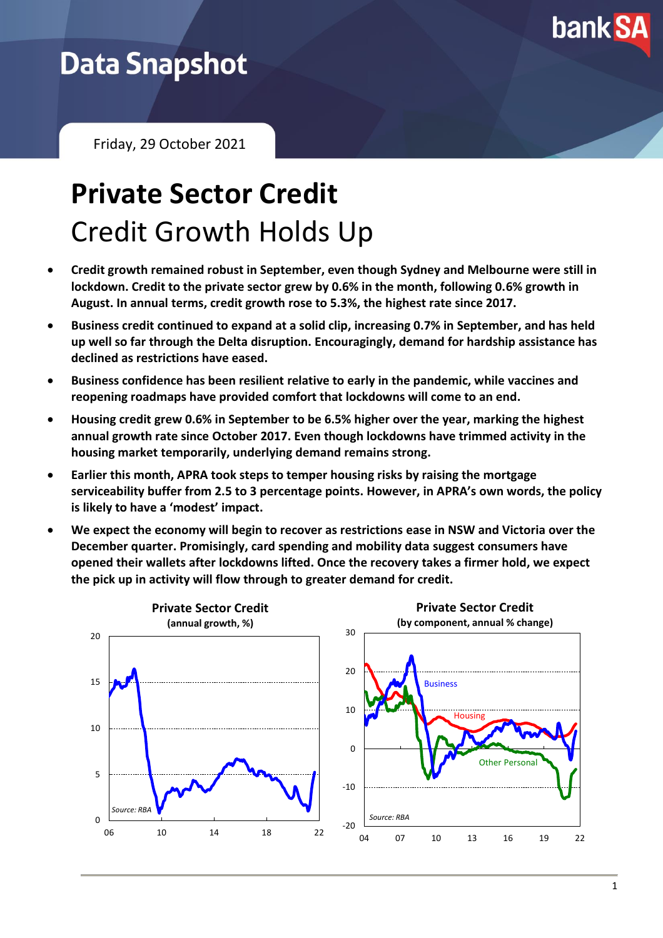

## **Data Snapshot**

Friday, 29 October 2021

# **Private Sector Credit** Credit Growth Holds Up

- **Credit growth remained robust in September, even though Sydney and Melbourne were still in lockdown. Credit to the private sector grew by 0.6% in the month, following 0.6% growth in August. In annual terms, credit growth rose to 5.3%, the highest rate since 2017.**
- **Business credit continued to expand at a solid clip, increasing 0.7% in September, and has held up well so far through the Delta disruption. Encouragingly, demand for hardship assistance has declined as restrictions have eased.**
- **Business confidence has been resilient relative to early in the pandemic, while vaccines and reopening roadmaps have provided comfort that lockdowns will come to an end.**
- **Housing credit grew 0.6% in September to be 6.5% higher over the year, marking the highest annual growth rate since October 2017. Even though lockdowns have trimmed activity in the housing market temporarily, underlying demand remains strong.**
- **Earlier this month, APRA took steps to temper housing risks by raising the mortgage serviceability buffer from 2.5 to 3 percentage points. However, in APRA's own words, the policy is likely to have a 'modest' impact.**
- **We expect the economy will begin to recover as restrictions ease in NSW and Victoria over the December quarter. Promisingly, card spending and mobility data suggest consumers have opened their wallets after lockdowns lifted. Once the recovery takes a firmer hold, we expect the pick up in activity will flow through to greater demand for credit.**

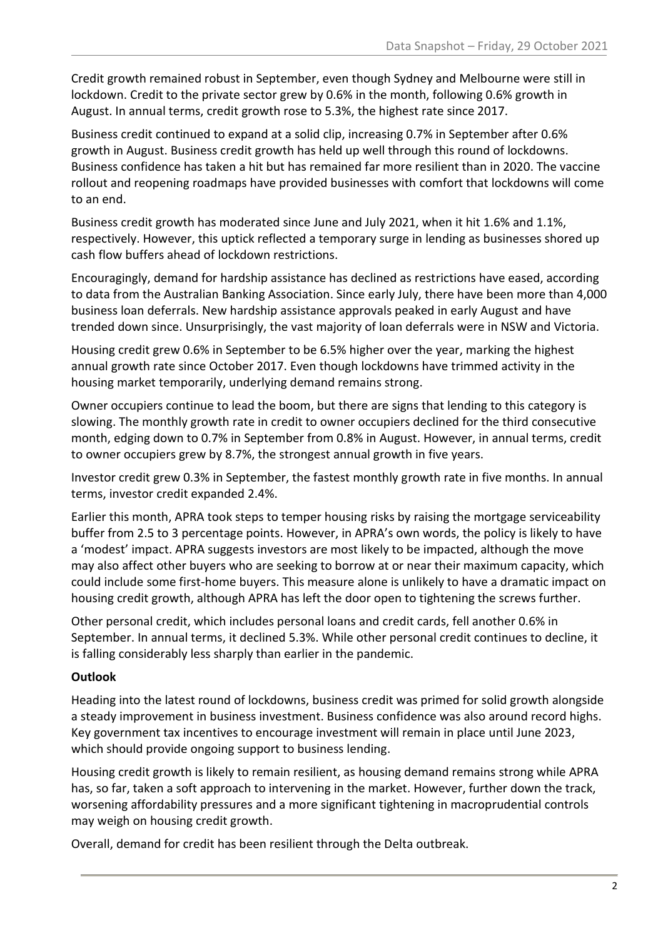Credit growth remained robust in September, even though Sydney and Melbourne were still in lockdown. Credit to the private sector grew by 0.6% in the month, following 0.6% growth in August. In annual terms, credit growth rose to 5.3%, the highest rate since 2017.

Business credit continued to expand at a solid clip, increasing 0.7% in September after 0.6% growth in August. Business credit growth has held up well through this round of lockdowns. Business confidence has taken a hit but has remained far more resilient than in 2020. The vaccine rollout and reopening roadmaps have provided businesses with comfort that lockdowns will come to an end.

Business credit growth has moderated since June and July 2021, when it hit 1.6% and 1.1%, respectively. However, this uptick reflected a temporary surge in lending as businesses shored up cash flow buffers ahead of lockdown restrictions.

Encouragingly, demand for hardship assistance has declined as restrictions have eased, according to data from the Australian Banking Association. Since early July, there have been more than 4,000 business loan deferrals. New hardship assistance approvals peaked in early August and have trended down since. Unsurprisingly, the vast majority of loan deferrals were in NSW and Victoria.

Housing credit grew 0.6% in September to be 6.5% higher over the year, marking the highest annual growth rate since October 2017. Even though lockdowns have trimmed activity in the housing market temporarily, underlying demand remains strong.

Owner occupiers continue to lead the boom, but there are signs that lending to this category is slowing. The monthly growth rate in credit to owner occupiers declined for the third consecutive month, edging down to 0.7% in September from 0.8% in August. However, in annual terms, credit to owner occupiers grew by 8.7%, the strongest annual growth in five years.

Investor credit grew 0.3% in September, the fastest monthly growth rate in five months. In annual terms, investor credit expanded 2.4%.

Earlier this month, APRA took steps to temper housing risks by raising the mortgage serviceability buffer from 2.5 to 3 percentage points. However, in APRA's own words, the policy is likely to have a 'modest' impact. APRA suggests investors are most likely to be impacted, although the move may also affect other buyers who are seeking to borrow at or near their maximum capacity, which could include some first-home buyers. This measure alone is unlikely to have a dramatic impact on housing credit growth, although APRA has left the door open to tightening the screws further.

Other personal credit, which includes personal loans and credit cards, fell another 0.6% in September. In annual terms, it declined 5.3%. While other personal credit continues to decline, it is falling considerably less sharply than earlier in the pandemic.

### **Outlook**

Heading into the latest round of lockdowns, business credit was primed for solid growth alongside a steady improvement in business investment. Business confidence was also around record highs. Key government tax incentives to encourage investment will remain in place until June 2023, which should provide ongoing support to business lending.

Housing credit growth is likely to remain resilient, as housing demand remains strong while APRA has, so far, taken a soft approach to intervening in the market. However, further down the track, worsening affordability pressures and a more significant tightening in macroprudential controls may weigh on housing credit growth.

Overall, demand for credit has been resilient through the Delta outbreak.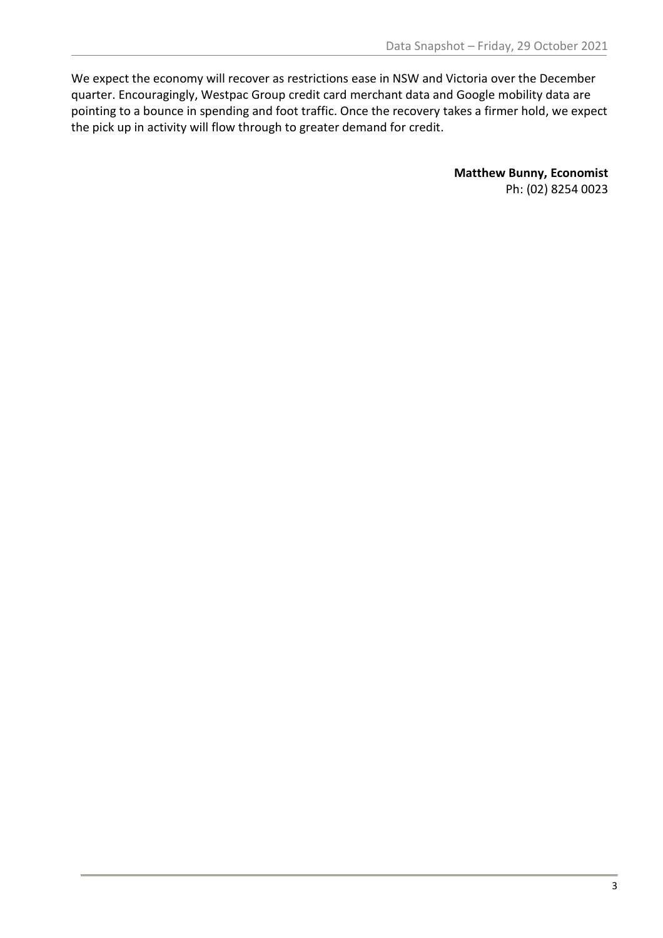We expect the economy will recover as restrictions ease in NSW and Victoria over the December quarter. Encouragingly, Westpac Group credit card merchant data and Google mobility data are pointing to a bounce in spending and foot traffic. Once the recovery takes a firmer hold, we expect the pick up in activity will flow through to greater demand for credit.

> **Matthew Bunny, Economist** Ph: (02) 8254 0023